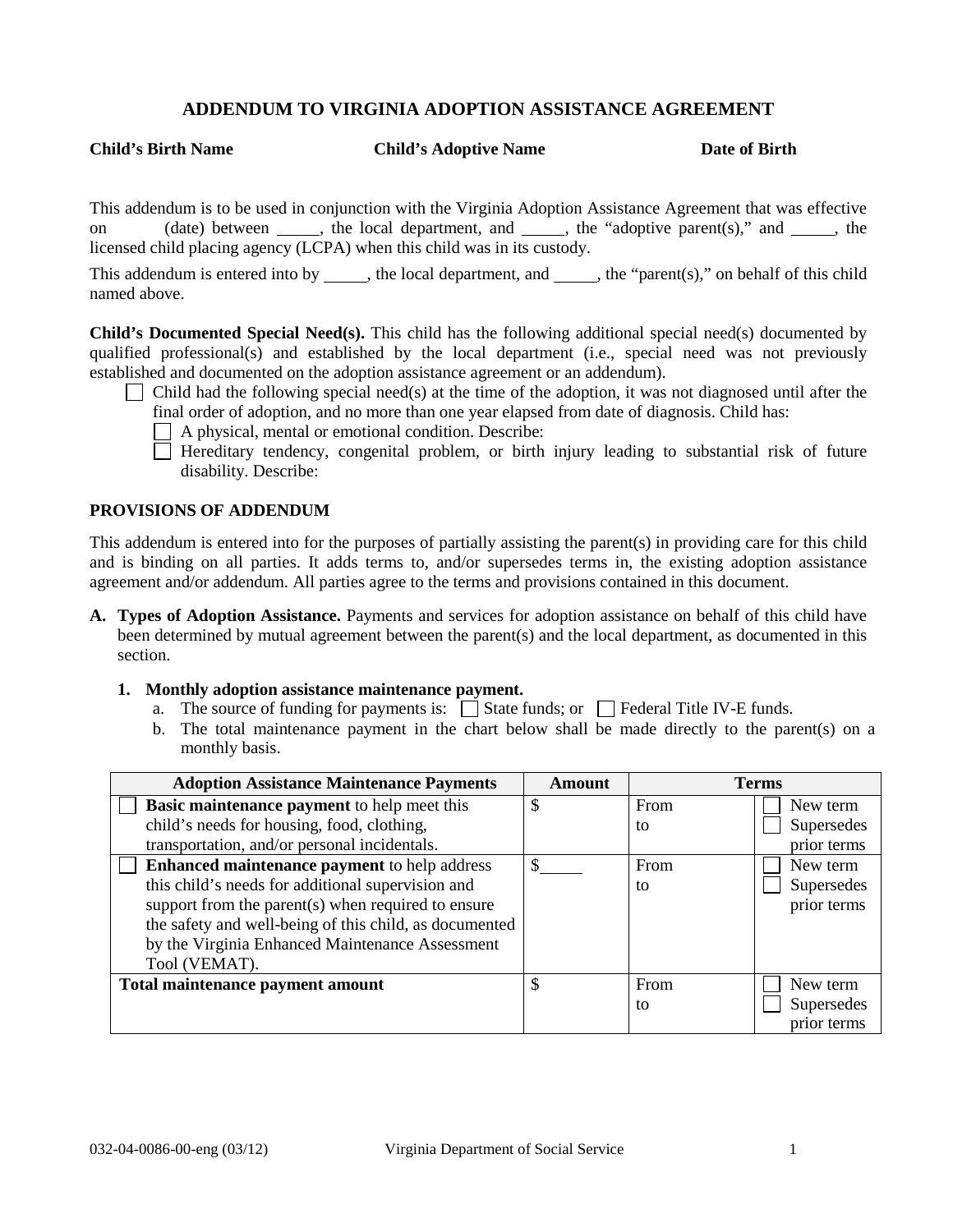# **ADDENDUM TO VIRGINIA ADOPTION ASSISTANCE AGREEMENT**

**Child's Birth Name Child's Adoptive Name Date of Birth**

This addendum is to be used in conjunction with the Virginia Adoption Assistance Agreement that was effective on (date) between  $\qquad$ , the local department, and  $\qquad$ , the "adoptive parent(s)," and  $\qquad$ , the licensed child placing agency (LCPA) when this child was in its custody.

This addendum is entered into by  $\qquad$ , the local department, and  $\qquad$ , the "parent(s)," on behalf of this child named above.

**Child's Documented Special Need(s).** This child has the following additional special need(s) documented by qualified professional(s) and established by the local department (i.e., special need was not previously established and documented on the adoption assistance agreement or an addendum).

Child had the following special need(s) at the time of the adoption, it was not diagnosed until after the

final order of adoption, and no more than one year elapsed from date of diagnosis. Child has:

A physical, mental or emotional condition. Describe:

 $\Box$  Hereditary tendency, congenital problem, or birth injury leading to substantial risk of future disability. Describe:

#### **PROVISIONS OF ADDENDUM**

This addendum is entered into for the purposes of partially assisting the parent(s) in providing care for this child and is binding on all parties. It adds terms to, and/or supersedes terms in, the existing adoption assistance agreement and/or addendum. All parties agree to the terms and provisions contained in this document.

**A. Types of Adoption Assistance.** Payments and services for adoption assistance on behalf of this child have been determined by mutual agreement between the parent(s) and the local department, as documented in this section.

### **1. Monthly adoption assistance maintenance payment.**

- a. The source of funding for payments is:  $\Box$  State funds; or  $\Box$  Federal Title IV-E funds.
- b. The total maintenance payment in the chart below shall be made directly to the parent(s) on a monthly basis.

| <b>Adoption Assistance Maintenance Payments</b>        | Amount | <b>Terms</b> |             |
|--------------------------------------------------------|--------|--------------|-------------|
| <b>Basic maintenance payment</b> to help meet this     | JЭ     | From         | New term    |
| child's needs for housing, food, clothing,             |        | to           | Supersedes  |
| transportation, and/or personal incidentals.           |        |              | prior terms |
| <b>Enhanced maintenance payment to help address</b>    |        | From         | New term    |
| this child's needs for additional supervision and      |        | to           | Supersedes  |
| support from the parent(s) when required to ensure     |        |              | prior terms |
| the safety and well-being of this child, as documented |        |              |             |
| by the Virginia Enhanced Maintenance Assessment        |        |              |             |
| Tool (VEMAT).                                          |        |              |             |
| Total maintenance payment amount                       |        | From         | New term    |
|                                                        |        | to           | Supersedes  |
|                                                        |        |              | prior terms |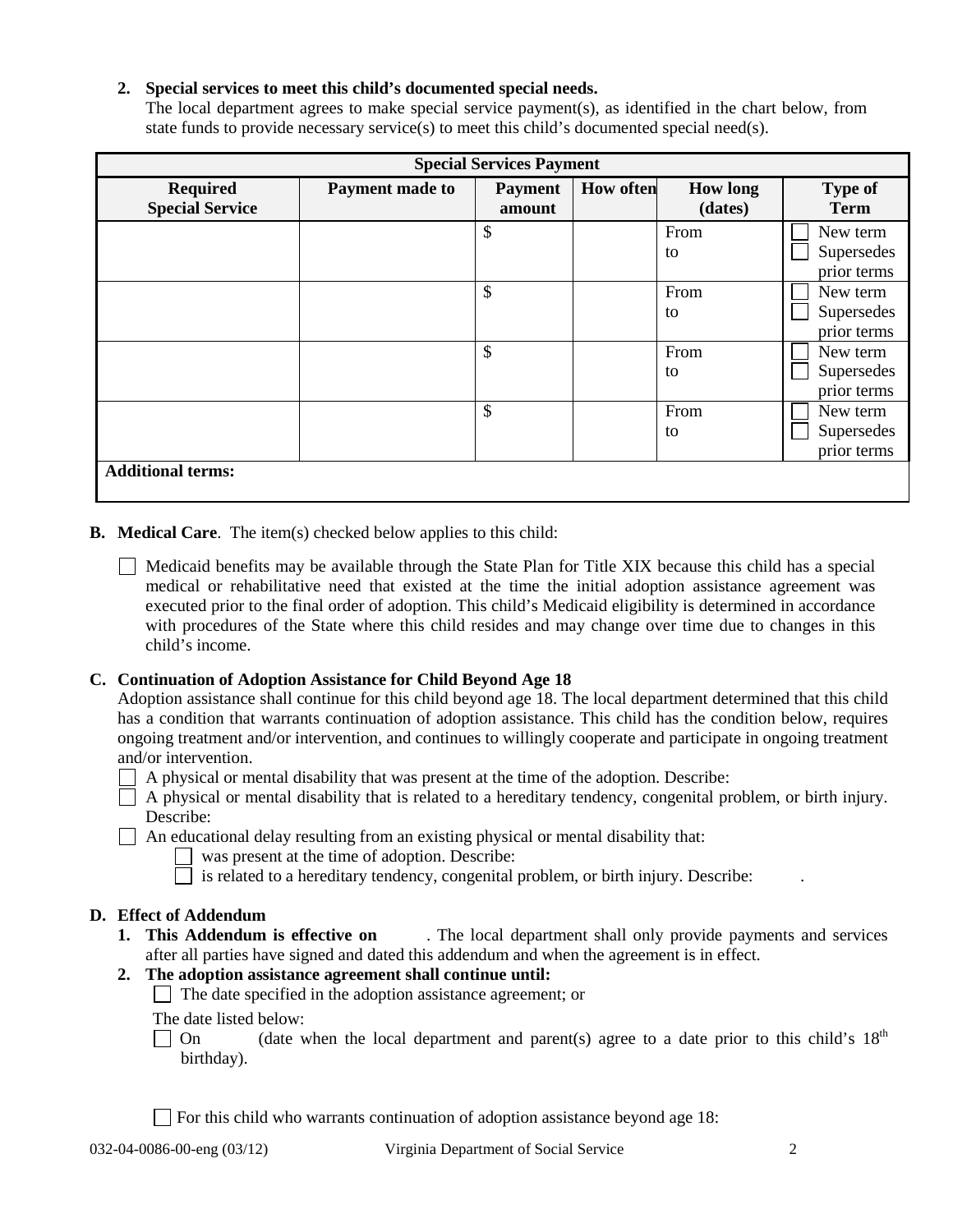## **2. Special services to meet this child's documented special needs.**

The local department agrees to make special service payment(s), as identified in the chart below, from state funds to provide necessary service(s) to meet this child's documented special need(s).

| <b>Special Services Payment</b>           |                 |                          |                  |                            |                                       |  |
|-------------------------------------------|-----------------|--------------------------|------------------|----------------------------|---------------------------------------|--|
| <b>Required</b><br><b>Special Service</b> | Payment made to | <b>Payment</b><br>amount | <b>How often</b> | <b>How long</b><br>(dates) | <b>Type of</b><br><b>Term</b>         |  |
|                                           |                 | \$                       |                  | From<br>to                 | New term<br>Supersedes<br>prior terms |  |
|                                           |                 | \$                       |                  | From<br>to                 | New term<br>Supersedes<br>prior terms |  |
|                                           |                 | \$                       |                  | From<br>to                 | New term<br>Supersedes<br>prior terms |  |
|                                           |                 | \$                       |                  | From<br>to                 | New term<br>Supersedes<br>prior terms |  |
| <b>Additional terms:</b>                  |                 |                          |                  |                            |                                       |  |

**B. Medical Care**. The item(s) checked below applies to this child:

 $\Box$  Medicaid benefits may be available through the State Plan for Title XIX because this child has a special medical or rehabilitative need that existed at the time the initial adoption assistance agreement was executed prior to the final order of adoption. This child's Medicaid eligibility is determined in accordance with procedures of the State where this child resides and may change over time due to changes in this child's income.

## **C. Continuation of Adoption Assistance for Child Beyond Age 18**

| Adoption assistance shall continue for this child beyond age 18. The local department determined that this child |
|------------------------------------------------------------------------------------------------------------------|
| has a condition that warrants continuation of adoption assistance. This child has the condition below, requires  |
| ongoing treatment and/or intervention, and continues to willingly cooperate and participate in ongoing treatment |
| and/or intervention.                                                                                             |

A physical or mental disability that was present at the time of the adoption. Describe:

 $\Box$  A physical or mental disability that is related to a hereditary tendency, congenital problem, or birth injury. Describe:

- $\Box$  An educational delay resulting from an existing physical or mental disability that:
	- was present at the time of adoption. Describe:
	- $\Box$  is related to a hereditary tendency, congenital problem, or birth injury. Describe:

**D. Effect of Addendum 1.** The local department shall only provide payments and services after all parties have signed and dated this addendum and when the agreement is in effect.

## **2. The adoption assistance agreement shall continue until:**

 $\Box$  The date specified in the adoption assistance agreement; or

The date listed below:

On (date when the local department and parent(s) agree to a date prior to this child's  $18<sup>th</sup>$ birthday).

For this child who warrants continuation of adoption assistance beyond age 18: